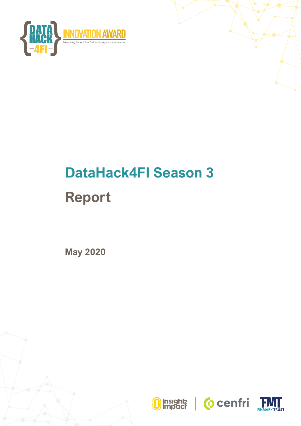

# **DataHack4FI Season 3 Report**

**May 2020**





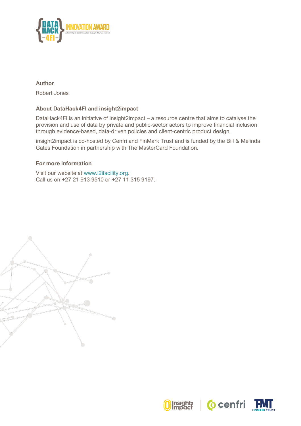

#### **Author**

Robert Jones

#### **About DataHack4FI and insight2impact**

DataHack4FI is an initiative of insight2impact – a resource centre that aims to catalyse the provision and use of data by private and public-sector actors to improve financial inclusion through evidence-based, data-driven policies and client-centric product design.

insight2impact is co-hosted by Cenfri and FinMark Trust and is funded by the Bill & Melinda Gates Foundation in partnership with The MasterCard Foundation.

#### **For more information**

Visit our website at www.i2ifacility.org. Call us on +27 21 913 9510 or +27 11 315 9197.







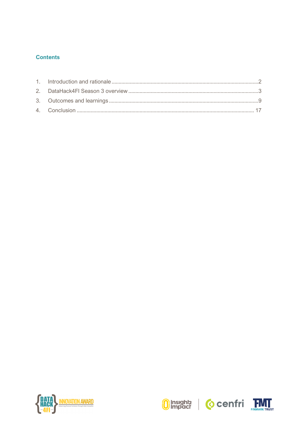# **Contents**







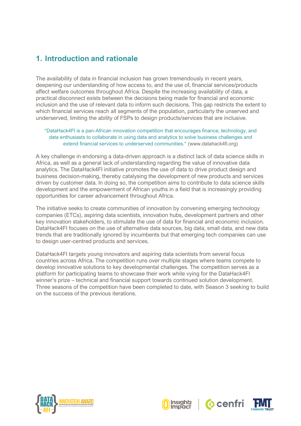# <span id="page-3-0"></span>**1. Introduction and rationale**

The availability of data in financial inclusion has grown tremendously in recent years, deepening our understanding of how access to, and the use of, financial services/products affect welfare outcomes throughout Africa. Despite the increasing availability of data, a practical disconnect exists between the decisions being made for financial and economic inclusion and the use of relevant data to inform such decisions. This gap restricts the extent to which financial services reach all segments of the population, particularly the unserved and underserved, limiting the ability of FSPs to design products/services that are inclusive.

#### "DataHack4FI is a pan-African innovation competition that encourages finance, technology, and data enthusiasts to collaborate in using data and analytics to solve business challenges and extend financial services to underserved communities." (www.datahack4fi.org)

A key challenge in endorsing a data-driven approach is a distinct lack of data science skills in Africa, as well as a general lack of understanding regarding the value of innovative data analytics. The DataHack4FI initiative promotes the use of data to drive product design and business decision-making, thereby catalysing the development of new products and services driven by customer data. In doing so, the competition aims to contribute to data science skills development and the empowerment of African youths in a field that is increasingly providing opportunities for career advancement throughout Africa.

The initiative seeks to create communities of innovation by convening emerging technology companies (ETCs), aspiring data scientists, innovation hubs, development partners and other key innovation stakeholders, to stimulate the use of data for financial and economic inclusion. DataHack4FI focuses on the use of alternative data sources, big data, small data, and new data trends that are traditionally ignored by incumbents but that emerging tech companies can use to design user-centred products and services.

DataHack4FI targets young innovators and aspiring data scientists from several focus countries across Africa. The competition runs over multiple stages where teams compete to develop innovative solutions to key developmental challenges. The competition serves as a platform for participating teams to showcase their work while vying for the DataHack4FI winner's prize – technical and financial support towards continued solution development. Three seasons of the competition have been completed to date, with Season 3 seeking to build on the success of the previous iterations.







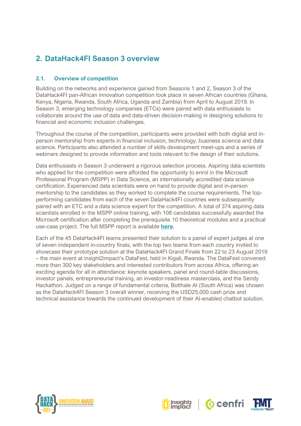# <span id="page-4-0"></span>**2. DataHack4FI Season 3 overview**

## **2.1. Overview of competition**

Building on the networks and experience gained from Seasons 1 and 2, Season 3 of the DataHack4FI pan-African innovation competition took place in seven African countries (Ghana, Kenya, Nigeria, Rwanda, South Africa, Uganda and Zambia) from April to August 2019. In Season 3, emerging technology companies (ETCs) were paired with data enthusiasts to collaborate around the use of data and data-driven decision-making in designing solutions to financial and economic inclusion challenges.

Throughout the course of the competition, participants were provided with both digital and inperson mentorship from experts in financial inclusion, technology, business science and data science. Participants also attended a number of skills development meet-ups and a series of webinars designed to provide information and tools relevant to the design of their solutions.

Data enthusiasts in Season 3 underwent a rigorous selection process. Aspiring data scientists who applied for the competition were afforded the opportunity to enrol in the Microsoft Professional Program (MSPP) in Data Science, an internationally accredited data science certification. Experienced data scientists were on hand to provide digital and in-person mentorship to the candidates as they worked to complete the course requirements. The topperforming candidates from each of the seven DataHack4FI countries were subsequently paired with an ETC and a data science expert for the competition. A total of 374 aspiring data scientists enrolled in the MSPP online training, with 108 candidates successfully awarded the Microsoft certification after completing the prerequisite 10 theoretical modules and a practical use-case project. The full MSPP report is available **[here](https://datahack4fi.org/Download/MSPP_DH4FI.pdf)**.

Each of the 45 DataHack4FI teams presented their solution to a panel of expert judges at one of seven independent in-country finals, with the top two teams from each country invited to showcase their prototype solution at the DataHack4FI Grand Finale from 22 to 23 August 2019 – the main event at insight2impact's DataFest, held in Kigali, Rwanda. The DataFest convened more than 300 key stakeholders and interested contributors from across Africa, offering an exciting agenda for all in attendance: keynote speakers, panel and round-table discussions, investor panels, entrepreneurial training, an investor-readiness masterclass, and the Sendy Hackathon. Judged on a range of fundamental criteria, Botlhale AI (South Africa) was chosen as the DataHack4FI Season 3 overall winner, receiving the USD25,000 cash prize and technical assistance towards the continued development of their AI-enabled chatbot solution.







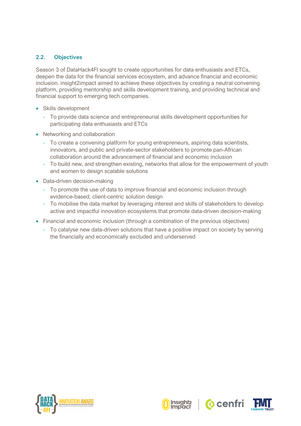## **2.2. Objectives**

Season 3 of DataHack4FI sought to create opportunities for data enthusiasts and ETCs, deepen the data for the financial services ecosystem, and advance financial and economic inclusion. insight2impact aimed to achieve these objectives by creating a neutral convening platform, providing mentorship and skills development training, and providing technical and financial support to emerging tech companies.

- Skills development
	- To provide data science and entrepreneurial skills development opportunities for participating data enthusiasts and ETCs
- Networking and collaboration
	- To create a convening platform for young entrepreneurs, aspiring data scientists, innovators, and public and private-sector stakeholders to promote pan-African collaboration around the advancement of financial and economic inclusion
	- To build new, and strengthen existing, networks that allow for the empowerment of youth and women to design scalable solutions
- Data-driven decision-making
	- To promote the use of data to improve financial and economic inclusion through evidence-based, client-centric solution design
	- To mobilise the data market by leveraging interest and skills of stakeholders to develop active and impactful innovation ecosystems that promote data-driven decision-making
- Financial and economic inclusion (through a combination of the previous objectives)
	- To catalyse new data-driven solutions that have a positive impact on society by serving the financially and economically excluded and underserved







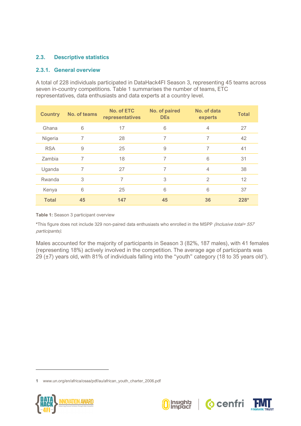## **2.3. Descriptive statistics**

#### **2.3.1. General overview**

A total of 228 individuals participated in DataHack4FI Season 3, representing 45 teams across seven in-country competitions. [Table 1](#page-6-0) summarises the number of teams, ETC representatives, data enthusiasts and data experts at a country level.

| <b>Country</b> | <b>No. of teams</b> | <b>No. of ETC</b><br>representatives | No. of paired<br><b>DEs</b> | No. of data<br>experts | <b>Total</b> |
|----------------|---------------------|--------------------------------------|-----------------------------|------------------------|--------------|
| Ghana          | 6                   | 17                                   | 6                           | $\overline{4}$         | 27           |
| Nigeria        | 7                   | 28                                   | 7                           | 7                      | 42           |
| <b>RSA</b>     | 9                   | 25                                   | 9                           | 7                      | 41           |
| Zambia         | 7                   | 18                                   | 7                           | 6                      | 31           |
| Uganda         | 7                   | 27                                   | 7                           | $\overline{4}$         | 38           |
| Rwanda         | 3                   | 7                                    | 3                           | $\overline{2}$         | 12           |
| Kenya          | 6                   | 25                                   | 6                           | 6                      | 37           |
| <b>Total</b>   | 45                  | 147                                  | 45                          | 36                     | $228*$       |

#### <span id="page-6-0"></span>**Table 1:** Season 3 participant overview

**\***This figure does not include 329 non-paired data enthusiasts who enrolled in the MSPP (Inclusive total= 557 participants).

Males accounted for the majority of participants in Season 3 (82%, 187 males), with 41 females (representing 18%) actively involved in the competition. The average age of participants was 29 ( $\pm$ 7) years old, with 81% of individuals falling into the "youth" category (18 to 35 years old<sup>1</sup>).

<sup>1</sup> [www.un.org/en/africa/osaa/pdf/au/african\\_youth\\_charter\\_2006.pdf](http://www.un.org/en/africa/osaa/pdf/au/african_youth_charter_2006.pdf)







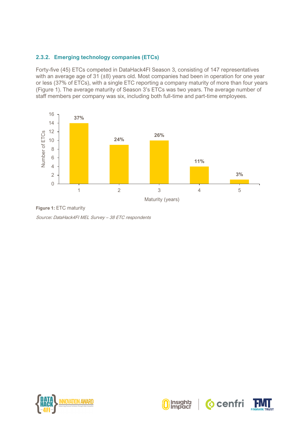#### **2.3.2. Emerging technology companies (ETCs)**

Forty-five (45) ETCs competed in DataHack4FI Season 3, consisting of 147 representatives with an average age of 31 ( $\pm 8$ ) years old. Most companies had been in operation for one year or less (37% of ETCs), with a single ETC reporting a company maturity of more than four years [\(Figure 1\)](#page-7-0). The average maturity of Season 3's ETCs was two years. The average number of staff members per company was six, including both full-time and part-time employees.



<span id="page-7-0"></span>**Figure 1:** ETC maturity Source**:** DataHack4FI MEL Survey – 38 ETC respondents







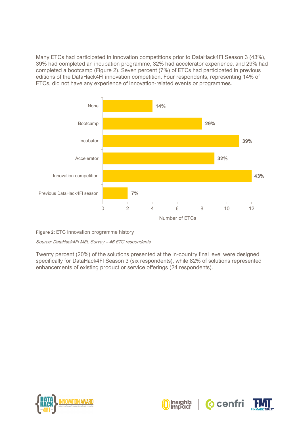Many ETCs had participated in innovation competitions prior to DataHack4FI Season 3 (43%), 39% had completed an incubation programme, 32% had accelerator experience, and 29% had completed a bootcamp [\(Figure 2\)](#page-8-0). Seven percent (7%) of ETCs had participated in previous editions of the DataHack4FI innovation competition. Four respondents, representing 14% of ETCs, did not have any experience of innovation-related events or programmes.



<span id="page-8-0"></span>**Figure 2:** ETC innovation programme history

Source: DataHack4FI MEL Survey – 46 ETC respondents

Twenty percent (20%) of the solutions presented at the in-country final level were designed specifically for DataHack4FI Season 3 (six respondents), while 82% of solutions represented enhancements of existing product or service offerings (24 respondents).







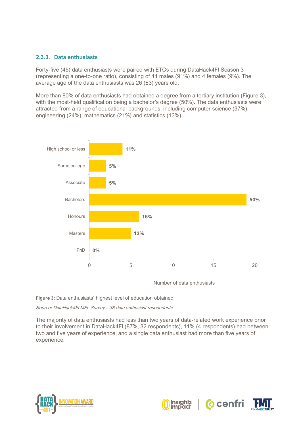#### **2.3.3. Data enthusiasts**

Forty-five (45) data enthusiasts were paired with ETCs during DataHack4FI Season 3 (representing a one-to-one ratio), consisting of 41 males (91%) and 4 females (9%). The average age of the data enthusiasts was 26 (±3) years old.

More than 80% of data enthusiasts had obtained a degree from a tertiary institution (Figure 3), with the most-held qualification being a bachelor's degree (50%). The data enthusiasts were attracted from a range of educational backgrounds, including computer science (37%), engineering (24%), mathematics (21%) and statistics (13%).



Number of data enthusiasts

**Figure 3:** Data enthusiasts' highest level of education obtained

Source**:** DataHack4FI MEL Survey – 38 data enthusiast respondents

The majority of data enthusiasts had less than two years of data-related work experience prior to their involvement in DataHack4FI (87%, 32 respondents), 11% (4 respondents) had between two and five years of experience, and a single data enthusiast had more than five years of experience.







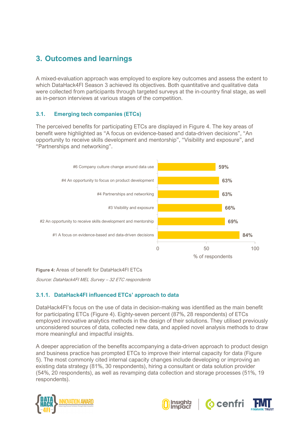# <span id="page-10-0"></span>**3. Outcomes and learnings**

A mixed-evaluation approach was employed to explore key outcomes and assess the extent to which DataHack4FI Season 3 achieved its objectives. Both quantitative and qualitative data were collected from participants through targeted surveys at the in-country final stage, as well as in-person interviews at various stages of the competition.

## **3.1. Emerging tech companies (ETCs)**

The perceived benefits for participating ETCs are displayed in [Figure 4.](#page-10-1) The key areas of benefit were highlighted as "A focus on evidence-based and data-driven decisions", "An opportunity to receive skills development and mentorship", "Visibility and exposure", and "Partnerships and networking".



<span id="page-10-1"></span>**Figure 4:** Areas of benefit for DataHack4FI ETCs

Source: DataHack4FI MEL Survey – 32 ETC respondents

# **3.1.1. DataHack4FI influenced ETCs' approach to data**

DataHack4FI's focus on the use of data in decision-making was identified as the main benefit for participating ETCs [\(Figure 4\)](#page-10-1). Eighty-seven percent (87%, 28 respondents) of ETCs employed innovative analytics methods in the design of their solutions. They utilised previously unconsidered sources of data, collected new data, and applied novel analysis methods to draw more meaningful and impactful insights.

A deeper appreciation of the benefits accompanying a data-driven approach to product design and business practice has prompted ETCs to improve their internal capacity for data [\(Figure](#page-11-0)  [5\)](#page-11-0). The most commonly cited internal capacity changes include developing or improving an existing data strategy (81%, 30 respondents), hiring a consultant or data solution provider (54%, 20 respondents), as well as revamping data collection and storage processes (51%, 19 respondents).







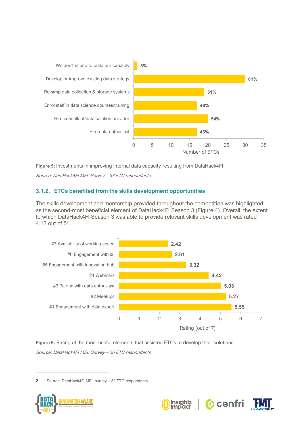

<span id="page-11-0"></span>**Figure 5:** Investments in improving internal data capacity resulting from DataHack4FI Source: DataHack4FI MEL Survey – 37 ETC respondents

## **3.1.2. ETCs benefited from the skills development opportunities**

The skills development and mentorship provided throughout the competition was highlighted as the second-most beneficial element of DataHack4FI Season 3 [\(Figure 4\)](#page-10-1). Overall, the extent to which DataHack4FI Season 3 was able to provide relevant skills development was rated 4.13 out of  $5^2$ .



<span id="page-11-1"></span>**Figure 6:** Rating of the most useful elements that assisted ETCs to develop their solutions Source**:** DataHack4FI MEL Survey – 36 ETC respondents

2 Source: DataHack4FI MEL survey – 32 ETC respondents





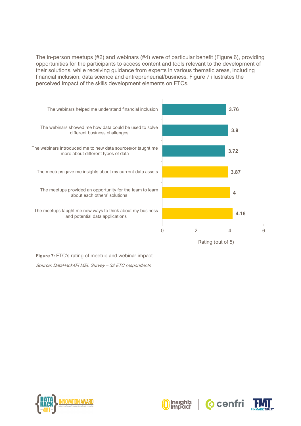The in-person meetups (#2) and webinars (#4) were of particular benefit [\(Figure 6\)](#page-11-1), providing opportunities for the participants to access content and tools relevant to the development of their solutions, while receiving guidance from experts in various thematic areas, including financial inclusion, data science and entrepreneurial/business. [Figure 7](#page-12-0) illustrates the perceived impact of the skills development elements on ETCs.



<span id="page-12-0"></span>**Figure 7:** ETC's rating of meetup and webinar impact Source**:** DataHack4FI MEL Survey – 32 ETC respondents







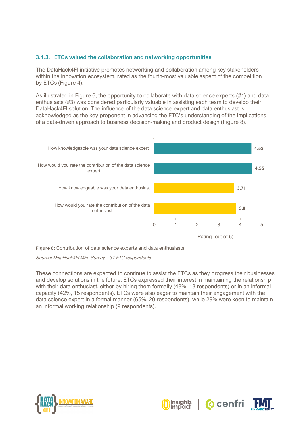## **3.1.3. ETCs valued the collaboration and networking opportunities**

The DataHack4FI initiative promotes networking and collaboration among key stakeholders within the innovation ecosystem, rated as the fourth-most valuable aspect of the competition by ETCs [\(Figure 4\)](#page-10-1).

As illustrated in [Figure 6,](#page-11-1) the opportunity to collaborate with data science experts (#1) and data enthusiasts (#3) was considered particularly valuable in assisting each team to develop their DataHack4FI solution. The influence of the data science expert and data enthusiast is acknowledged as the key proponent in advancing the ETC's understanding of the implications of a data-driven approach to business decision-making and product design [\(Figure 8\)](#page-13-0).



<span id="page-13-0"></span>**Figure 8:** Contribution of data science experts and data enthusiasts

Source**:** DataHack4FI MEL Survey – 31 ETC respondents

These connections are expected to continue to assist the ETCs as they progress their businesses and develop solutions in the future. ETCs expressed their interest in maintaining the relationship with their data enthusiast, either by hiring them formally (48%, 13 respondents) or in an informal capacity (42%, 15 respondents). ETCs were also eager to maintain their engagement with the data science expert in a formal manner (65%, 20 respondents), while 29% were keen to maintain an informal working relationship (9 respondents).







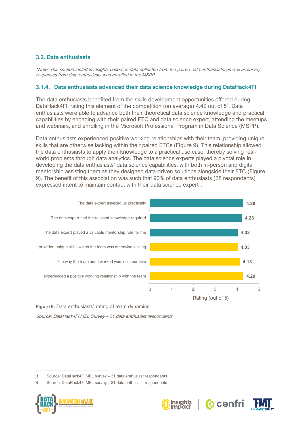#### **3.2. Data enthusiasts**

\*Note: This section includes insights based on data collected from the paired data enthusiasts, as well as survey responses from data enthusiasts who enrolled in the MSPP.

#### **3.1.4. Data enthusiasts advanced their data science knowledge during DataHack4FI**

The data enthusiasts benefited from the skills development opportunities offered during DataHack4FI, rating this element of the competition (on average) 4.42 out of 5<sup>3</sup>. Data enthusiasts were able to advance both their theoretical data science knowledge and practical capabilities by engaging with their paired ETC and data science expert, attending the meetups and webinars, and enrolling in the Microsoft Professional Program in Data Science (MSPP).

Data enthusiasts experienced positive working relationships with their team, providing unique skills that are otherwise lacking within their paired ETCs [\(Figure 9\)](#page-14-0). This relationship allowed the data enthusiasts to apply their knowledge to a practical use case, thereby solving realworld problems through data analytics. The data science experts played a pivotal role in developing the data enthusiasts' data science capabilities, with both in-person and digital mentorship assisting them as they designed data-driven solutions alongside their ETC [\(Figure](#page-14-0)  [9\)](#page-14-0). The benefit of this association was such that 90% of data enthusiasts (28 respondents) expressed intent to maintain contact with their data science expert<sup>4</sup>.



<span id="page-14-0"></span>**Figure 9:** Data enthusiasts' rating of team dynamics

Source**:** DataHack4FI MEL Survey – 31 data enthusiast respondents

<sup>4</sup> Source: DataHack4FI MEL survey – 31 data enthusiast respondents









<sup>3</sup> Source: DataHack4FI MEL survey – 31 data enthusiast respondents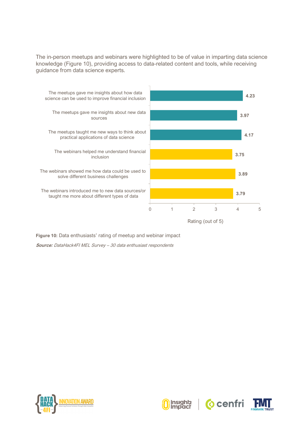The in-person meetups and webinars were highlighted to be of value in imparting data science knowledge [\(Figure 10\)](#page-15-0), providing access to data-related content and tools, while receiving guidance from data science experts.



<span id="page-15-0"></span>**Figure 10:** Data enthusiasts' rating of meetup and webinar impact **Source:** DataHack4FI MEL Survey – 30 data enthusiast respondents







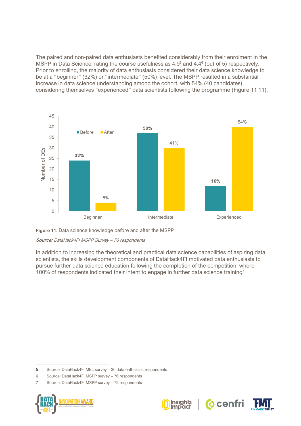The paired and non-paired data enthusiasts benefited considerably from their enrolment in the MSPP in Data Science, rating the course usefulness as 4.9<sup>5</sup> and 4.4<sup>6</sup> (out of 5) respectively. Prior to enrolling, the majority of data enthusiasts considered their data science knowledge to be at a "beginner" (32%) or "intermediate" (50%) level. The MSPP resulted in a substantial increase in data science understanding among the cohort, with 54% (40 candidates) considering themselves "experienced" data scientists following the programme [\(Figure 11](#page-16-0) 11).



<span id="page-16-0"></span>**Figure 11:** Data science knowledge before and after the MSPP

**Source:** DataHack4FI MSPP Survey – 76 respondents

In addition to increasing the theoretical and practical data science capabilities of aspiring data scientists, the skills development components of DataHack4FI motivated data enthusiasts to pursue further data science education following the completion of the competition; where 100% of respondents indicated their intent to engage in further data science training<sup>7</sup>.

<sup>7</sup> Source: DataHack4FI MSPP survey – 72 respondents









<sup>5</sup> Source: DataHack4FI MEL survey – 30 data enthusiast respondents

<sup>6</sup> Source: DataHack4FI MSPP survey – 76 respondents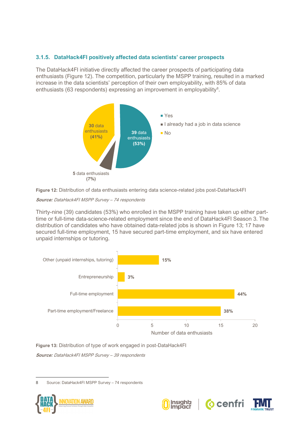## **3.1.5. DataHack4FI positively affected data scientists' career prospects**

The DataHack4FI initiative directly affected the career prospects of participating data enthusiasts (Figure 12). The competition, particularly the MSPP training, resulted in a marked increase in the data scientists' perception of their own employability, with 85% of data enthusiasts (63 respondents) expressing an improvement in employability<sup>8</sup>.





#### **Source:** DataHack4FI MSPP Survey – 74 respondents

Thirty-nine (39) candidates (53%) who enrolled in the MSPP training have taken up either parttime or full-time data-science-related employment since the end of DataHack4FI Season 3. The distribution of candidates who have obtained data-related jobs is shown in Figure 13; 17 have secured full-time employment, 15 have secured part-time employment, and six have entered unpaid internships or tutoring.



**Figure 13:** Distribution of type of work engaged in post-DataHack4FI **Source:** DataHack4FI MSPP Survey – 39 respondents

8 Source: DataHack4FI MSPP Survey – 74 respondents





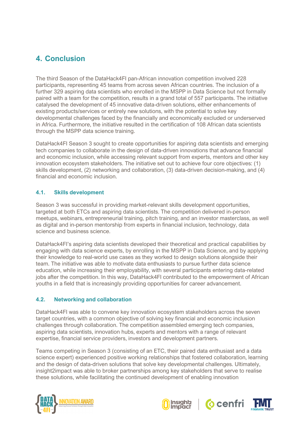# <span id="page-18-0"></span>**4. Conclusion**

The third Season of the DataHack4FI pan-African innovation competition involved 228 participants, representing 45 teams from across seven African countries. The inclusion of a further 329 aspiring data scientists who enrolled in the MSPP in Data Science but not formally paired with a team for the competition, results in a grand total of 557 participants. The initiative catalysed the development of 45 innovative data-driven solutions, either enhancements of existing products/services or entirely new solutions, with the potential to solve key developmental challenges faced by the financially and economically excluded or underserved in Africa. Furthermore, the initiative resulted in the certification of 108 African data scientists through the MSPP data science training.

DataHack4FI Season 3 sought to create opportunities for aspiring data scientists and emerging tech companies to collaborate in the design of data-driven innovations that advance financial and economic inclusion, while accessing relevant support from experts, mentors and other key innovation ecosystem stakeholders. The initiative set out to achieve four core objectives: (1) skills development, (2) networking and collaboration, (3) data-driven decision-making, and (4) financial and economic inclusion.

## **4.1. Skills development**

Season 3 was successful in providing market-relevant skills development opportunities, targeted at both ETCs and aspiring data scientists. The competition delivered in-person meetups, webinars, entrepreneurial training, pitch training, and an investor masterclass, as well as digital and in-person mentorship from experts in financial inclusion, technology, data science and business science.

DataHack4FI's aspiring data scientists developed their theoretical and practical capabilities by engaging with data science experts, by enrolling in the MSPP in Data Science, and by applying their knowledge to real-world use cases as they worked to design solutions alongside their team. The initiative was able to motivate data enthusiasts to pursue further data science education, while increasing their employability, with several participants entering data-related jobs after the competition. In this way, DataHack4FI contributed to the empowerment of African youths in a field that is increasingly providing opportunities for career advancement.

# **4.2. Networking and collaboration**

DataHack4FI was able to convene key innovation ecosystem stakeholders across the seven target countries, with a common objective of solving key financial and economic inclusion challenges through collaboration. The competition assembled emerging tech companies, aspiring data scientists, innovation hubs, experts and mentors with a range of relevant expertise, financial service providers, investors and development partners.

Teams competing in Season 3 (consisting of an ETC, their paired data enthusiast and a data science expert) experienced positive working relationships that fostered collaboration, learning and the design of data-driven solutions that solve key developmental challenges. Ultimately, insight2impact was able to broker partnerships among key stakeholders that serve to realise these solutions, while facilitating the continued development of enabling innovation







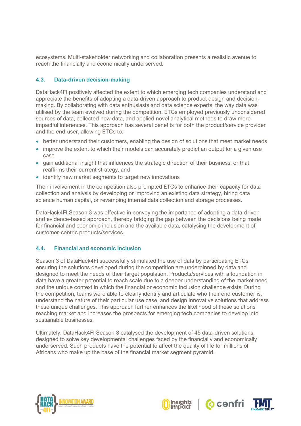ecosystems. Multi-stakeholder networking and collaboration presents a realistic avenue to reach the financially and economically underserved.

#### **4.3. Data-driven decision-making**

DataHack4FI positively affected the extent to which emerging tech companies understand and appreciate the benefits of adopting a data-driven approach to product design and decisionmaking. By collaborating with data enthusiasts and data science experts, the way data was utilised by the team evolved during the competition. ETCs employed previously unconsidered sources of data, collected new data, and applied novel analytical methods to draw more impactful inferences. This approach has several benefits for both the product/service provider and the end-user, allowing ETCs to:

- better understand their customers, enabling the design of solutions that meet market needs
- improve the extent to which their models can accurately predict an output for a given use case
- gain additional insight that influences the strategic direction of their business, or that reaffirms their current strategy, and
- identify new market segments to target new innovations

Their involvement in the competition also prompted ETCs to enhance their capacity for data collection and analysis by developing or improving an existing data strategy, hiring data science human capital, or revamping internal data collection and storage processes.

DataHack4FI Season 3 was effective in conveying the importance of adopting a data-driven and evidence-based approach, thereby bridging the gap between the decisions being made for financial and economic inclusion and the available data, catalysing the development of customer-centric products/services.

#### **4.4. Financial and economic inclusion**

Season 3 of DataHack4FI successfully stimulated the use of data by participating ETCs, ensuring the solutions developed during the competition are underpinned by data and designed to meet the needs of their target population. Products/services with a foundation in data have a greater potential to reach scale due to a deeper understanding of the market need and the unique context in which the financial or economic inclusion challenge exists. During the competition, teams were able to clearly identify and articulate who their end customer is, understand the nature of their particular use case, and design innovative solutions that address these unique challenges. This approach further enhances the likelihood of these solutions reaching market and increases the prospects for emerging tech companies to develop into sustainable businesses.

Ultimately, DataHack4FI Season 3 catalysed the development of 45 data-driven solutions, designed to solve key developmental challenges faced by the financially and economically underserved. Such products have the potential to affect the quality of life for millions of Africans who make up the base of the financial market segment pyramid.